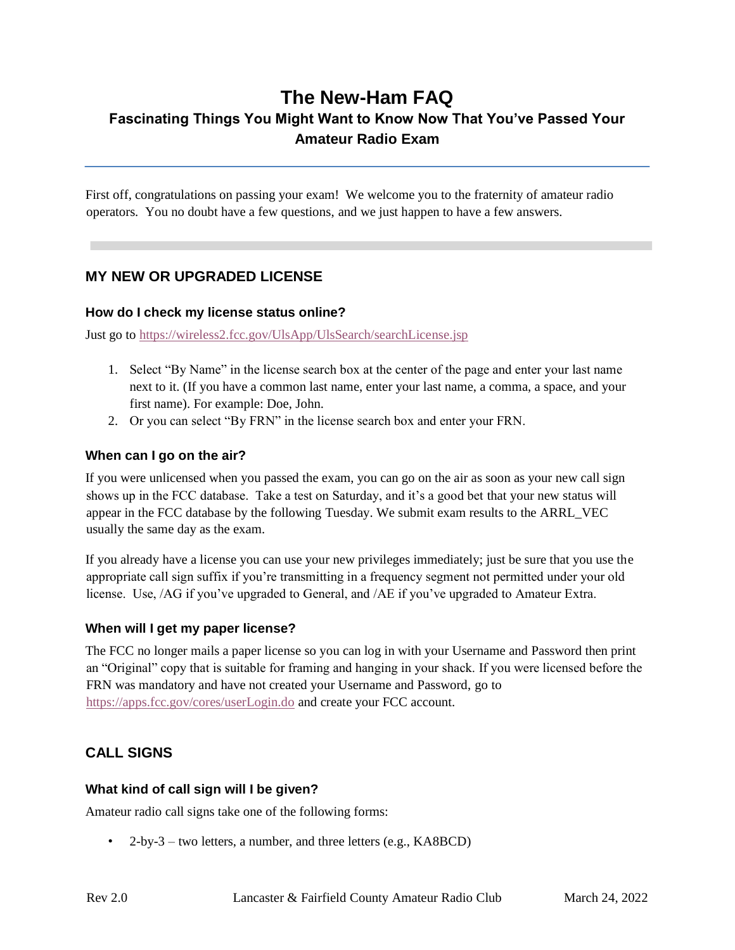# **The New-Ham FAQ Fascinating Things You Might Want to Know Now That You've Passed Your Amateur Radio Exam**

First off, congratulations on passing your exam! We welcome you to the fraternity of amateur radio operators. You no doubt have a few questions, and we just happen to have a few answers.

## **MY NEW OR UPGRADED LICENSE**

### **How do I check my license status online?**

Just go to<https://wireless2.fcc.gov/UlsApp/UlsSearch/searchLicense.jsp>

- 1. Select "By Name" in the license search box at the center of the page and enter your last name next to it. (If you have a common last name, enter your last name, a comma, a space, and your first name). For example: Doe, John.
- 2. Or you can select "By FRN" in the license search box and enter your FRN.

### **When can I go on the air?**

If you were unlicensed when you passed the exam, you can go on the air as soon as your new call sign shows up in the FCC database. Take a test on Saturday, and it's a good bet that your new status will appear in the FCC database by the following Tuesday. We submit exam results to the ARRL\_VEC usually the same day as the exam.

If you already have a license you can use your new privileges immediately; just be sure that you use the appropriate call sign suffix if you're transmitting in a frequency segment not permitted under your old license. Use, /AG if you've upgraded to General, and /AE if you've upgraded to Amateur Extra.

### **When will I get my paper license?**

The FCC no longer mails a paper license so you can log in with your Username and Password then print an "Original" copy that is suitable for framing and hanging in your shack. If you were licensed before the FRN was mandatory and have not created your Username and Password, go to <https://apps.fcc.gov/cores/userLogin.do> and create your FCC account.

## **CALL SIGNS**

### **What kind of call sign will I be given?**

Amateur radio call signs take one of the following forms:

• 2-by-3 – two letters, a number, and three letters  $(e.g., KABBCD)$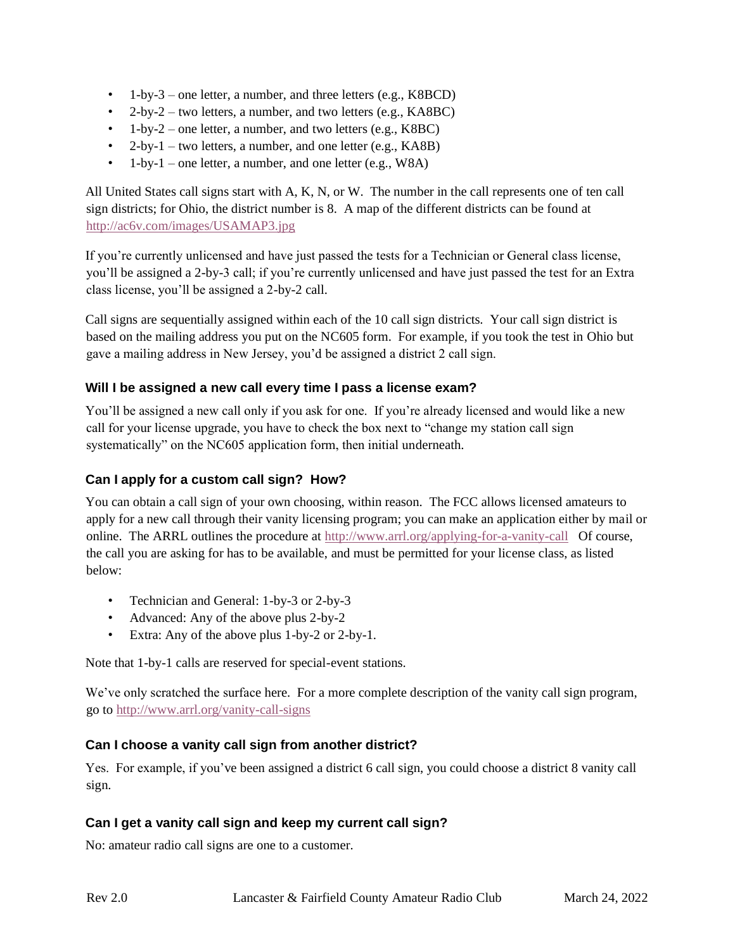- 1-by-3 one letter, a number, and three letters  $(e.g., K8BCD)$
- 2-by-2 two letters, a number, and two letters (e.g.,  $KABBC$ )
- 1-by-2 one letter, a number, and two letters (e.g.,  $K8BC$ )
- 2-by-1 two letters, a number, and one letter  $(e.g., KAB)$
- 1-by-1 one letter, a number, and one letter  $(e.g., W8A)$

All United States call signs start with A, K, N, or W. The number in the call represents one of ten call sign districts; for Ohio, the district number is 8. A map of the different districts can be found at <http://ac6v.com/images/USAMAP3.jpg>

If you're currently unlicensed and have just passed the tests for a Technician or General class license, you'll be assigned a 2-by-3 call; if you're currently unlicensed and have just passed the test for an Extra class license, you'll be assigned a 2-by-2 call.

Call signs are sequentially assigned within each of the 10 call sign districts. Your call sign district is based on the mailing address you put on the NC605 form. For example, if you took the test in Ohio but gave a mailing address in New Jersey, you'd be assigned a district 2 call sign.

### **Will I be assigned a new call every time I pass a license exam?**

You'll be assigned a new call only if you ask for one. If you're already licensed and would like a new call for your license upgrade, you have to check the box next to "change my station call sign systematically" on the NC605 application form, then initial underneath.

### **Can I apply for a custom call sign? How?**

You can obtain a call sign of your own choosing, within reason. The FCC allows licensed amateurs to apply for a new call through their vanity licensing program; you can make an application either by mail or online. The ARRL outlines the procedure at<http://www.arrl.org/applying-for-a-vanity-call> Of course, the call you are asking for has to be available, and must be permitted for your license class, as listed below:

- Technician and General: 1-by-3 or 2-by-3
- Advanced: Any of the above plus 2-by-2
- Extra: Any of the above plus 1-by-2 or 2-by-1.

Note that 1-by-1 calls are reserved for special-event stations.

We've only scratched the surface here. For a more complete description of the vanity call sign program, go to<http://www.arrl.org/vanity-call-signs>

### **Can I choose a vanity call sign from another district?**

Yes. For example, if you've been assigned a district 6 call sign, you could choose a district 8 vanity call sign.

### **Can I get a vanity call sign and keep my current call sign?**

No: amateur radio call signs are one to a customer.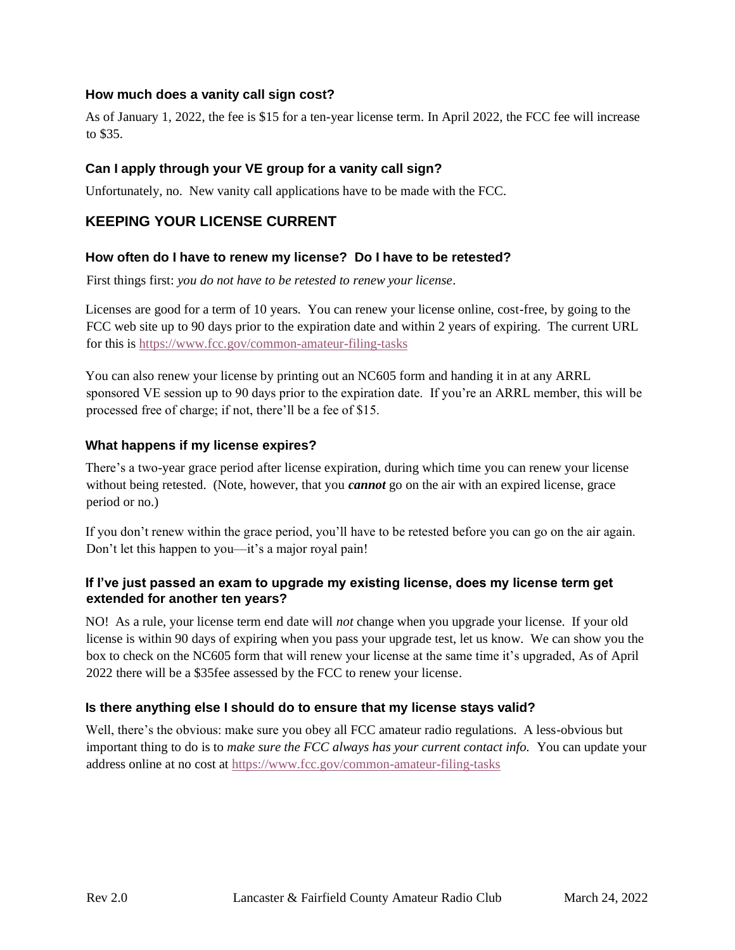### **How much does a vanity call sign cost?**

As of January 1, 2022, the fee is \$15 for a ten-year license term. In April 2022, the FCC fee will increase to \$35.

#### **Can I apply through your VE group for a vanity call sign?**

Unfortunately, no. New vanity call applications have to be made with the FCC.

### **KEEPING YOUR LICENSE CURRENT**

#### **How often do I have to renew my license? Do I have to be retested?**

First things first: *you do not have to be retested to renew your license*.

Licenses are good for a term of 10 years. You can renew your license online, cost-free, by going to the FCC web site up to 90 days prior to the expiration date and within 2 years of expiring. The current URL for this is<https://www.fcc.gov/common-amateur-filing-tasks>

You can also renew your license by printing out an NC605 form and handing it in at any ARRL sponsored VE session up to 90 days prior to the expiration date. If you're an ARRL member, this will be processed free of charge; if not, there'll be a fee of \$15.

#### **What happens if my license expires?**

There's a two-year grace period after license expiration, during which time you can renew your license without being retested. (Note, however, that you *cannot* go on the air with an expired license, grace period or no.)

If you don't renew within the grace period, you'll have to be retested before you can go on the air again. Don't let this happen to you—it's a major royal pain!

### **If I've just passed an exam to upgrade my existing license, does my license term get extended for another ten years?**

NO! As a rule, your license term end date will *not* change when you upgrade your license. If your old license is within 90 days of expiring when you pass your upgrade test, let us know. We can show you the box to check on the NC605 form that will renew your license at the same time it's upgraded, As of April 2022 there will be a \$35fee assessed by the FCC to renew your license.

### **Is there anything else I should do to ensure that my license stays valid?**

Well, there's the obvious: make sure you obey all FCC amateur radio regulations. A less-obvious but important thing to do is to *make sure the FCC always has your current contact info.* You can update your address online at no cost at<https://www.fcc.gov/common-amateur-filing-tasks>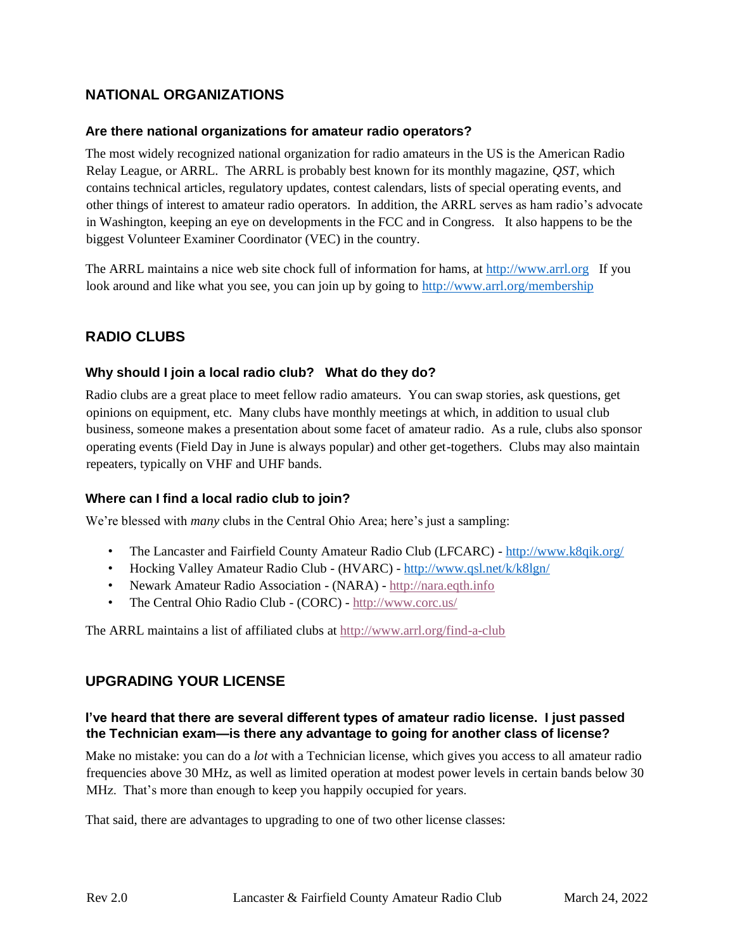## **NATIONAL ORGANIZATIONS**

### **Are there national organizations for amateur radio operators?**

The most widely recognized national organization for radio amateurs in the US is the American Radio Relay League, or ARRL. The ARRL is probably best known for its monthly magazine, *QST*, which contains technical articles, regulatory updates, contest calendars, lists of special operating events, and other things of interest to amateur radio operators. In addition, the ARRL serves as ham radio's advocate in Washington, keeping an eye on developments in the FCC and in Congress. It also happens to be the biggest Volunteer Examiner Coordinator (VEC) in the country.

The ARRL maintains a nice web site chock full of information for hams, at [http://www.arrl.org](http://www.arrl.org/) If you look around and like what you see, you can join up by going to<http://www.arrl.org/membership>

## **RADIO CLUBS**

### **Why should I join a local radio club? What do they do?**

Radio clubs are a great place to meet fellow radio amateurs. You can swap stories, ask questions, get opinions on equipment, etc. Many clubs have monthly meetings at which, in addition to usual club business, someone makes a presentation about some facet of amateur radio. As a rule, clubs also sponsor operating events (Field Day in June is always popular) and other get-togethers. Clubs may also maintain repeaters, typically on VHF and UHF bands.

### **Where can I find a local radio club to join?**

We're blessed with *many* clubs in the Central Ohio Area; here's just a sampling:

- The Lancaster and Fairfield County Amateur Radio Club (LFCARC) <http://www.k8qik.org/>
- Hocking Valley Amateur Radio Club (HVARC) <http://www.qsl.net/k/k8lgn/>
- Newark Amateur Radio Association (NARA) [http://nara.eqth.info](http://nara.eqth.info/)
- The Central Ohio Radio Club (CORC) <http://www.corc.us/>

The ARRL maintains a list of affiliated clubs at<http://www.arrl.org/find-a-club>

### **UPGRADING YOUR LICENSE**

### **I've heard that there are several different types of amateur radio license. I just passed the Technician exam—is there any advantage to going for another class of license?**

Make no mistake: you can do a *lot* with a Technician license, which gives you access to all amateur radio frequencies above 30 MHz, as well as limited operation at modest power levels in certain bands below 30 MHz. That's more than enough to keep you happily occupied for years.

That said, there are advantages to upgrading to one of two other license classes: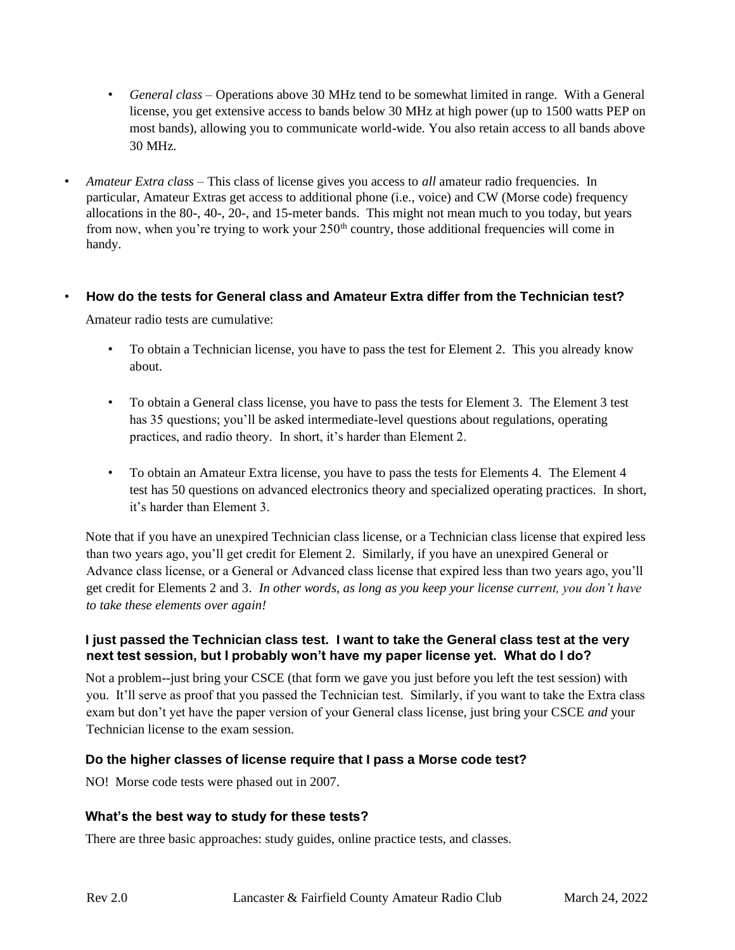- *General class* Operations above 30 MHz tend to be somewhat limited in range. With a General license, you get extensive access to bands below 30 MHz at high power (up to 1500 watts PEP on most bands), allowing you to communicate world-wide. You also retain access to all bands above 30 MHz.
- *Amateur Extra class* This class of license gives you access to *all* amateur radio frequencies. In particular, Amateur Extras get access to additional phone (i.e., voice) and CW (Morse code) frequency allocations in the 80-, 40-, 20-, and 15-meter bands. This might not mean much to you today, but years from now, when you're trying to work your  $250<sup>th</sup>$  country, those additional frequencies will come in handy.

### • **How do the tests for General class and Amateur Extra differ from the Technician test?**

Amateur radio tests are cumulative:

- To obtain a Technician license, you have to pass the test for Element 2. This you already know about.
- To obtain a General class license, you have to pass the tests for Element 3. The Element 3 test has 35 questions; you'll be asked intermediate-level questions about regulations, operating practices, and radio theory. In short, it's harder than Element 2.
- To obtain an Amateur Extra license, you have to pass the tests for Elements 4. The Element 4 test has 50 questions on advanced electronics theory and specialized operating practices. In short, it's harder than Element 3.

Note that if you have an unexpired Technician class license, or a Technician class license that expired less than two years ago, you'll get credit for Element 2. Similarly, if you have an unexpired General or Advance class license, or a General or Advanced class license that expired less than two years ago, you'll get credit for Elements 2 and 3. *In other words, as long as you keep your license current, you don't have to take these elements over again!*

### **I just passed the Technician class test. I want to take the General class test at the very next test session, but I probably won't have my paper license yet. What do I do?**

Not a problem--just bring your CSCE (that form we gave you just before you left the test session) with you. It'll serve as proof that you passed the Technician test. Similarly, if you want to take the Extra class exam but don't yet have the paper version of your General class license, just bring your CSCE *and* your Technician license to the exam session.

### **Do the higher classes of license require that I pass a Morse code test?**

NO! Morse code tests were phased out in 2007.

### **What's the best way to study for these tests?**

There are three basic approaches: study guides, online practice tests, and classes.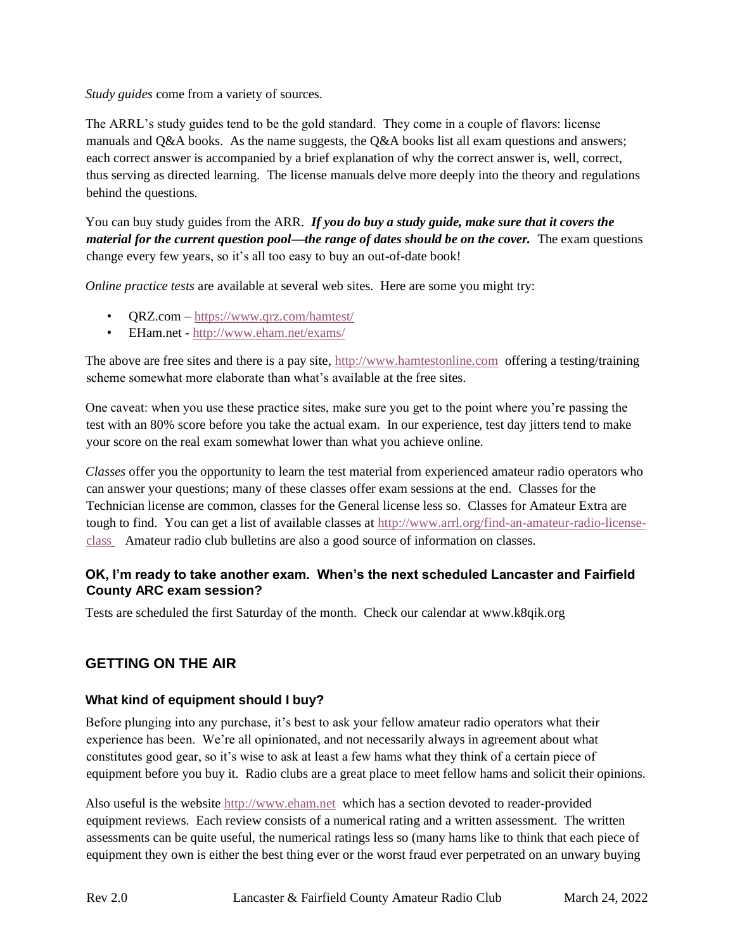*Study guides* come from a variety of sources.

The ARRL's study guides tend to be the gold standard. They come in a couple of flavors: license manuals and Q&A books. As the name suggests, the Q&A books list all exam questions and answers; each correct answer is accompanied by a brief explanation of why the correct answer is, well, correct, thus serving as directed learning. The license manuals delve more deeply into the theory and regulations behind the questions.

You can buy study guides from the ARR. *If you do buy a study guide, make sure that it covers the material for the current question pool—the range of dates should be on the cover.* The exam questions change every few years, so it's all too easy to buy an out-of-date book!

*Online practice tests* are available at several web sites. Here are some you might try:

- QRZ.com <https://www.qrz.com/hamtest/>
- EHam.net <http://www.eham.net/exams/>

The above are free sites and there is a pay site, [http://www.hamtestonline.com](http://www.hamtestonline.com/) offering a testing/training scheme somewhat more elaborate than what's available at the free sites.

One caveat: when you use these practice sites, make sure you get to the point where you're passing the test with an 80% score before you take the actual exam. In our experience, test day jitters tend to make your score on the real exam somewhat lower than what you achieve online.

*Classes* offer you the opportunity to learn the test material from experienced amateur radio operators who can answer your questions; many of these classes offer exam sessions at the end. Classes for the Technician license are common, classes for the General license less so. Classes for Amateur Extra are tough to find. You can get a list of available classes at [http://www.arrl.org/find-an-amateur-radio-license](http://www.arrl.org/find-an-amateur-radio-license-class)[class](http://www.arrl.org/find-an-amateur-radio-license-class) Amateur radio club bulletins are also a good source of information on classes.

### **OK, I'm ready to take another exam. When's the next scheduled Lancaster and Fairfield County ARC exam session?**

Tests are scheduled the first Saturday of the month. Check our calendar at www.k8qik.org

## **GETTING ON THE AIR**

### **What kind of equipment should I buy?**

Before plunging into any purchase, it's best to ask your fellow amateur radio operators what their experience has been. We're all opinionated, and not necessarily always in agreement about what constitutes good gear, so it's wise to ask at least a few hams what they think of a certain piece of equipment before you buy it. Radio clubs are a great place to meet fellow hams and solicit their opinions.

Also useful is the website [http://www.eham.net](http://www.eham.net/) which has a section devoted to reader-provided equipment reviews. Each review consists of a numerical rating and a written assessment. The written assessments can be quite useful, the numerical ratings less so (many hams like to think that each piece of equipment they own is either the best thing ever or the worst fraud ever perpetrated on an unwary buying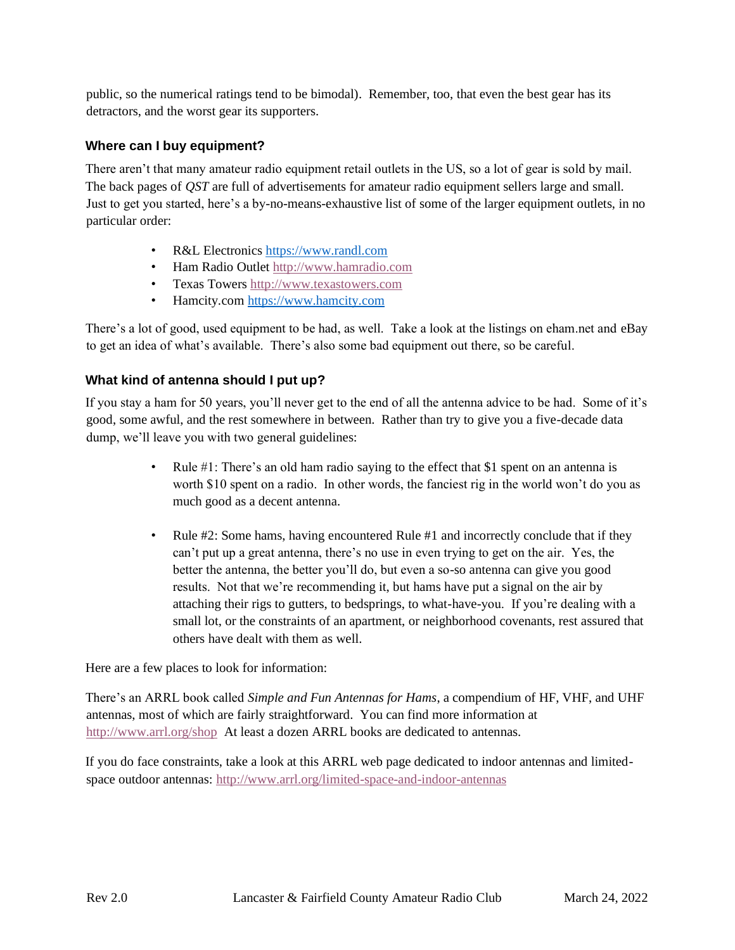public, so the numerical ratings tend to be bimodal). Remember, too, that even the best gear has its detractors, and the worst gear its supporters.

### **Where can I buy equipment?**

There aren't that many amateur radio equipment retail outlets in the US, so a lot of gear is sold by mail. The back pages of *QST* are full of advertisements for amateur radio equipment sellers large and small. Just to get you started, here's a by-no-means-exhaustive list of some of the larger equipment outlets, in no particular order:

- R&L Electronics [https://www.randl.com](https://www.randl.com/)
- Ham Radio Outlet [http://www.hamradio.com](http://www.hamradio.com/)
- Texas Towers [http://www.texastowers.com](http://www.texastowers.com/)
- Hamcity.com [https://www.hamcity.com](https://www.hamcity.com/)

There's a lot of good, used equipment to be had, as well. Take a look at the listings on eham.net and eBay to get an idea of what's available. There's also some bad equipment out there, so be careful.

### **What kind of antenna should I put up?**

If you stay a ham for 50 years, you'll never get to the end of all the antenna advice to be had. Some of it's good, some awful, and the rest somewhere in between. Rather than try to give you a five-decade data dump, we'll leave you with two general guidelines:

- Rule #1: There's an old ham radio saying to the effect that \$1 spent on an antenna is worth \$10 spent on a radio. In other words, the fanciest rig in the world won't do you as much good as a decent antenna.
- Rule #2: Some hams, having encountered Rule #1 and incorrectly conclude that if they can't put up a great antenna, there's no use in even trying to get on the air. Yes, the better the antenna, the better you'll do, but even a so-so antenna can give you good results. Not that we're recommending it, but hams have put a signal on the air by attaching their rigs to gutters, to bedsprings, to what-have-you. If you're dealing with a small lot, or the constraints of an apartment, or neighborhood covenants, rest assured that others have dealt with them as well.

Here are a few places to look for information:

There's an ARRL book called *Simple and Fun Antennas for Hams*, a compendium of HF, VHF, and UHF antennas, most of which are fairly straightforward. You can find more information at [http://www.arrl.org/shop](http://www.arrl.org/shop/Simple-and-Fun-Antennas-for-Hams) At least a dozen ARRL books are dedicated to antennas.

If you do face constraints, take a look at this ARRL web page dedicated to indoor antennas and limitedspace outdoor antennas:<http://www.arrl.org/limited-space-and-indoor-antennas>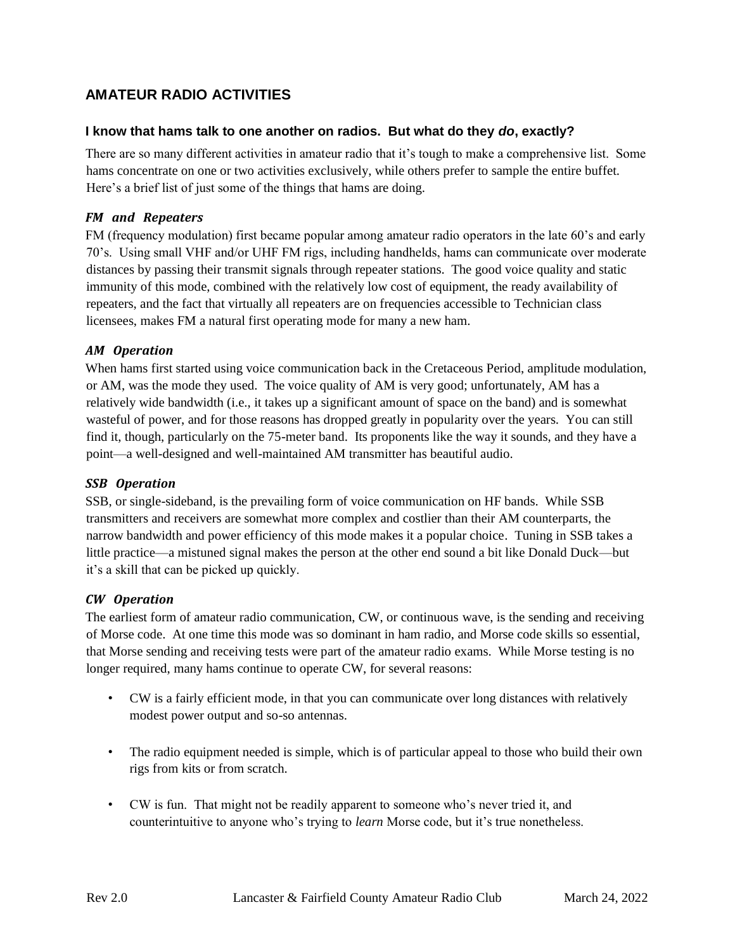## **AMATEUR RADIO ACTIVITIES**

#### **I know that hams talk to one another on radios. But what do they** *do***, exactly?**

There are so many different activities in amateur radio that it's tough to make a comprehensive list. Some hams concentrate on one or two activities exclusively, while others prefer to sample the entire buffet. Here's a brief list of just some of the things that hams are doing.

#### *FM and Repeaters*

FM (frequency modulation) first became popular among amateur radio operators in the late 60's and early 70's. Using small VHF and/or UHF FM rigs, including handhelds, hams can communicate over moderate distances by passing their transmit signals through repeater stations. The good voice quality and static immunity of this mode, combined with the relatively low cost of equipment, the ready availability of repeaters, and the fact that virtually all repeaters are on frequencies accessible to Technician class licensees, makes FM a natural first operating mode for many a new ham.

#### *AM Operation*

When hams first started using voice communication back in the Cretaceous Period, amplitude modulation, or AM, was the mode they used. The voice quality of AM is very good; unfortunately, AM has a relatively wide bandwidth (i.e., it takes up a significant amount of space on the band) and is somewhat wasteful of power, and for those reasons has dropped greatly in popularity over the years. You can still find it, though, particularly on the 75-meter band. Its proponents like the way it sounds, and they have a point—a well-designed and well-maintained AM transmitter has beautiful audio.

#### *SSB Operation*

SSB, or single-sideband, is the prevailing form of voice communication on HF bands. While SSB transmitters and receivers are somewhat more complex and costlier than their AM counterparts, the narrow bandwidth and power efficiency of this mode makes it a popular choice. Tuning in SSB takes a little practice—a mistuned signal makes the person at the other end sound a bit like Donald Duck—but it's a skill that can be picked up quickly.

#### *CW Operation*

The earliest form of amateur radio communication, CW, or continuous wave, is the sending and receiving of Morse code. At one time this mode was so dominant in ham radio, and Morse code skills so essential, that Morse sending and receiving tests were part of the amateur radio exams. While Morse testing is no longer required, many hams continue to operate CW, for several reasons:

- CW is a fairly efficient mode, in that you can communicate over long distances with relatively modest power output and so-so antennas.
- The radio equipment needed is simple, which is of particular appeal to those who build their own rigs from kits or from scratch.
- CW is fun. That might not be readily apparent to someone who's never tried it, and counterintuitive to anyone who's trying to *learn* Morse code, but it's true nonetheless.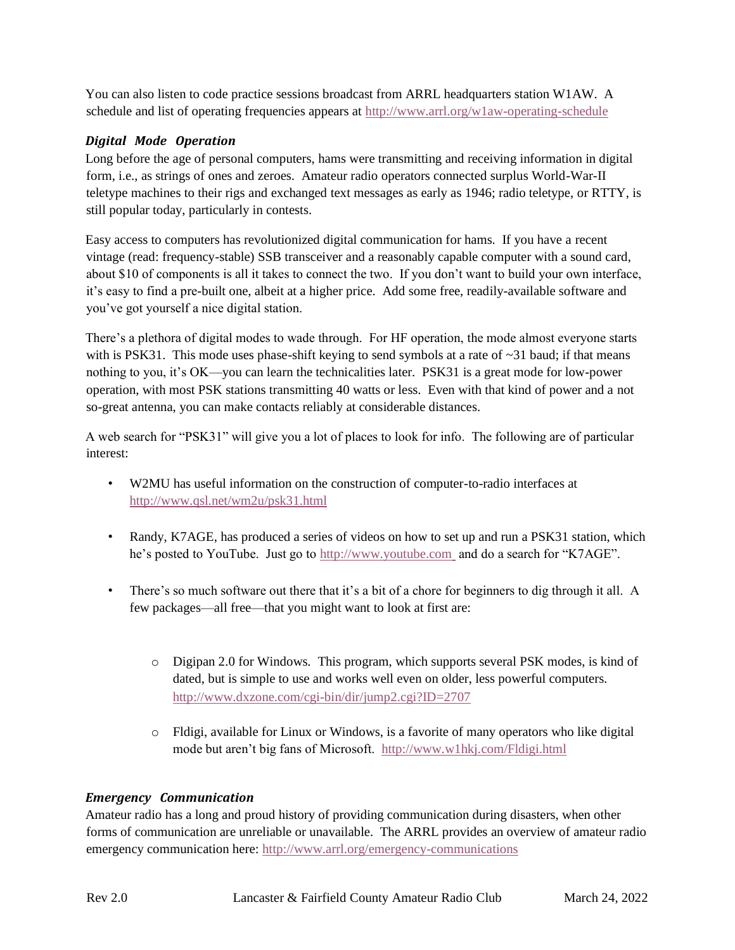You can also listen to code practice sessions broadcast from ARRL headquarters station W1AW. A schedule and list of operating frequencies appears at<http://www.arrl.org/w1aw-operating-schedule>

### *Digital Mode Operation*

Long before the age of personal computers, hams were transmitting and receiving information in digital form, i.e., as strings of ones and zeroes. Amateur radio operators connected surplus World-War-II teletype machines to their rigs and exchanged text messages as early as 1946; radio teletype, or RTTY, is still popular today, particularly in contests.

Easy access to computers has revolutionized digital communication for hams. If you have a recent vintage (read: frequency-stable) SSB transceiver and a reasonably capable computer with a sound card, about \$10 of components is all it takes to connect the two. If you don't want to build your own interface, it's easy to find a pre-built one, albeit at a higher price. Add some free, readily-available software and you've got yourself a nice digital station.

There's a plethora of digital modes to wade through. For HF operation, the mode almost everyone starts with is PSK31. This mode uses phase-shift keying to send symbols at a rate of ~31 baud; if that means nothing to you, it's OK—you can learn the technicalities later. PSK31 is a great mode for low-power operation, with most PSK stations transmitting 40 watts or less. Even with that kind of power and a not so-great antenna, you can make contacts reliably at considerable distances.

A web search for "PSK31" will give you a lot of places to look for info. The following are of particular interest:

- W2MU has useful information on the construction of computer-to-radio interfaces at <http://www.qsl.net/wm2u/psk31.html>
- Randy, K7AGE, has produced a series of videos on how to set up and run a PSK31 station, which he's posted to YouTube. Just go to [http://www.youtube.com](http://www.youtube.com/)\_and do a search for "K7AGE".
- There's so much software out there that it's a bit of a chore for beginners to dig through it all. A few packages—all free—that you might want to look at first are:
	- o Digipan 2.0 for Windows. This program, which supports several PSK modes, is kind of dated, but is simple to use and works well even on older, less powerful computers. <http://www.dxzone.com/cgi-bin/dir/jump2.cgi?ID=2707>
	- o Fldigi, available for Linux or Windows, is a favorite of many operators who like digital mode but aren't big fans of Microsoft. <http://www.w1hkj.com/Fldigi.html>

### *Emergency Communication*

Amateur radio has a long and proud history of providing communication during disasters, when other forms of communication are unreliable or unavailable. The ARRL provides an overview of amateur radio emergency communication here:<http://www.arrl.org/emergency-communications>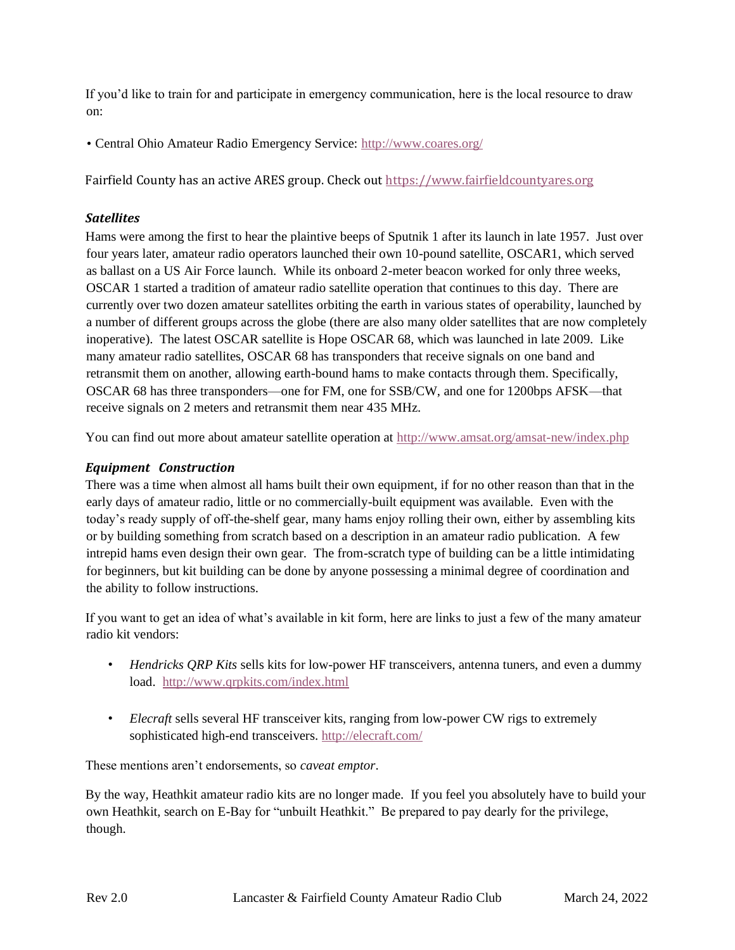If you'd like to train for and participate in emergency communication, here is the local resource to draw on:

• Central Ohio Amateur Radio Emergency Service:<http://www.coares.org/>

Fairfield County has an active ARES group. Check out [https://www.fairfieldcountyares.org](https://www.fairfieldcountyares.org/)

#### *Satellites*

Hams were among the first to hear the plaintive beeps of Sputnik 1 after its launch in late 1957. Just over four years later, amateur radio operators launched their own 10-pound satellite, OSCAR1, which served as ballast on a US Air Force launch. While its onboard 2-meter beacon worked for only three weeks, OSCAR 1 started a tradition of amateur radio satellite operation that continues to this day. There are currently over two dozen amateur satellites orbiting the earth in various states of operability, launched by a number of different groups across the globe (there are also many older satellites that are now completely inoperative). The latest OSCAR satellite is Hope OSCAR 68, which was launched in late 2009. Like many amateur radio satellites, OSCAR 68 has transponders that receive signals on one band and retransmit them on another, allowing earth-bound hams to make contacts through them. Specifically, OSCAR 68 has three transponders—one for FM, one for SSB/CW, and one for 1200bps AFSK—that receive signals on 2 meters and retransmit them near 435 MHz.

You can find out more about amateur satellite operation at<http://www.amsat.org/amsat-new/index.php>

### *Equipment Construction*

There was a time when almost all hams built their own equipment, if for no other reason than that in the early days of amateur radio, little or no commercially-built equipment was available. Even with the today's ready supply of off-the-shelf gear, many hams enjoy rolling their own, either by assembling kits or by building something from scratch based on a description in an amateur radio publication. A few intrepid hams even design their own gear. The from-scratch type of building can be a little intimidating for beginners, but kit building can be done by anyone possessing a minimal degree of coordination and the ability to follow instructions.

If you want to get an idea of what's available in kit form, here are links to just a few of the many amateur radio kit vendors:

- *Hendricks QRP Kits* sells kits for low-power HF transceivers, antenna tuners, and even a dummy load. <http://www.qrpkits.com/index.html>
- *Elecraft* sells several HF transceiver kits, ranging from low-power CW rigs to extremely sophisticated high-end transceivers.<http://elecraft.com/>

These mentions aren't endorsements, so *caveat emptor*.

By the way, Heathkit amateur radio kits are no longer made. If you feel you absolutely have to build your own Heathkit, search on E-Bay for "unbuilt Heathkit." Be prepared to pay dearly for the privilege, though.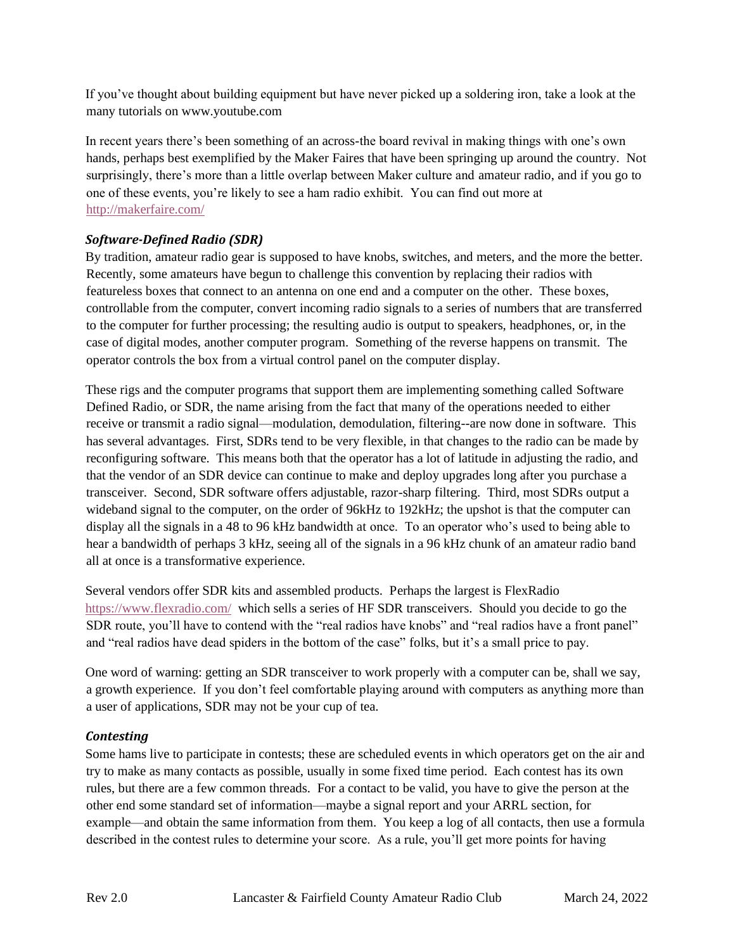If you've thought about building equipment but have never picked up a soldering iron, take a look at the many tutorials on www.youtube.com

In recent years there's been something of an across-the board revival in making things with one's own hands, perhaps best exemplified by the Maker Faires that have been springing up around the country. Not surprisingly, there's more than a little overlap between Maker culture and amateur radio, and if you go to one of these events, you're likely to see a ham radio exhibit. You can find out more at <http://makerfaire.com/>

### *Software-Defined Radio (SDR)*

By tradition, amateur radio gear is supposed to have knobs, switches, and meters, and the more the better. Recently, some amateurs have begun to challenge this convention by replacing their radios with featureless boxes that connect to an antenna on one end and a computer on the other. These boxes, controllable from the computer, convert incoming radio signals to a series of numbers that are transferred to the computer for further processing; the resulting audio is output to speakers, headphones, or, in the case of digital modes, another computer program. Something of the reverse happens on transmit. The operator controls the box from a virtual control panel on the computer display.

These rigs and the computer programs that support them are implementing something called Software Defined Radio, or SDR, the name arising from the fact that many of the operations needed to either receive or transmit a radio signal—modulation, demodulation, filtering--are now done in software. This has several advantages. First, SDRs tend to be very flexible, in that changes to the radio can be made by reconfiguring software. This means both that the operator has a lot of latitude in adjusting the radio, and that the vendor of an SDR device can continue to make and deploy upgrades long after you purchase a transceiver. Second, SDR software offers adjustable, razor-sharp filtering. Third, most SDRs output a wideband signal to the computer, on the order of 96kHz to 192kHz; the upshot is that the computer can display all the signals in a 48 to 96 kHz bandwidth at once. To an operator who's used to being able to hear a bandwidth of perhaps 3 kHz, seeing all of the signals in a 96 kHz chunk of an amateur radio band all at once is a transformative experience.

Several vendors offer SDR kits and assembled products. Perhaps the largest is FlexRadio <https://www.flexradio.com/> which sells a series of HF SDR transceivers. Should you decide to go the SDR route, you'll have to contend with the "real radios have knobs" and "real radios have a front panel" and "real radios have dead spiders in the bottom of the case" folks, but it's a small price to pay.

One word of warning: getting an SDR transceiver to work properly with a computer can be, shall we say, a growth experience. If you don't feel comfortable playing around with computers as anything more than a user of applications, SDR may not be your cup of tea.

### *Contesting*

Some hams live to participate in contests; these are scheduled events in which operators get on the air and try to make as many contacts as possible, usually in some fixed time period. Each contest has its own rules, but there are a few common threads. For a contact to be valid, you have to give the person at the other end some standard set of information—maybe a signal report and your ARRL section, for example—and obtain the same information from them. You keep a log of all contacts, then use a formula described in the contest rules to determine your score. As a rule, you'll get more points for having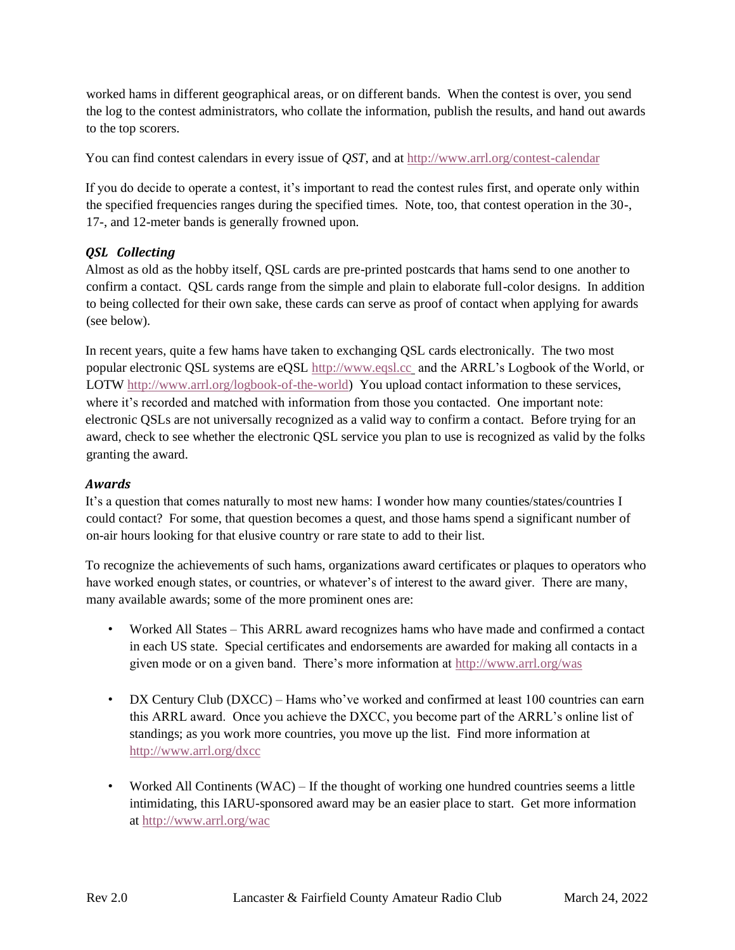worked hams in different geographical areas, or on different bands. When the contest is over, you send the log to the contest administrators, who collate the information, publish the results, and hand out awards to the top scorers.

You can find contest calendars in every issue of *QST*, and at<http://www.arrl.org/contest-calendar>

If you do decide to operate a contest, it's important to read the contest rules first, and operate only within the specified frequencies ranges during the specified times. Note, too, that contest operation in the 30-, 17-, and 12-meter bands is generally frowned upon.

#### *QSL Collecting*

Almost as old as the hobby itself, QSL cards are pre-printed postcards that hams send to one another to confirm a contact. QSL cards range from the simple and plain to elaborate full-color designs. In addition to being collected for their own sake, these cards can serve as proof of contact when applying for awards (see below).

In recent years, quite a few hams have taken to exchanging QSL cards electronically. The two most popular electronic QSL systems are eQSL [http://www.eqsl.cc](http://www.eqsl.cc/)\_ and the ARRL's Logbook of the World, or LOTW [http://www.arrl.org/logbook-of-the-world\)](http://www.arrl.org/logbook-of-the-world) You upload contact information to these services, where it's recorded and matched with information from those you contacted. One important note: electronic QSLs are not universally recognized as a valid way to confirm a contact. Before trying for an award, check to see whether the electronic QSL service you plan to use is recognized as valid by the folks granting the award.

#### *Awards*

It's a question that comes naturally to most new hams: I wonder how many counties/states/countries I could contact? For some, that question becomes a quest, and those hams spend a significant number of on-air hours looking for that elusive country or rare state to add to their list.

To recognize the achievements of such hams, organizations award certificates or plaques to operators who have worked enough states, or countries, or whatever's of interest to the award giver. There are many, many available awards; some of the more prominent ones are:

- Worked All States This ARRL award recognizes hams who have made and confirmed a contact in each US state. Special certificates and endorsements are awarded for making all contacts in a given mode or on a given band. There's more information at<http://www.arrl.org/was>
- DX Century Club (DXCC) Hams who've worked and confirmed at least 100 countries can earn this ARRL award. Once you achieve the DXCC, you become part of the ARRL's online list of standings; as you work more countries, you move up the list. Find more information at <http://www.arrl.org/dxcc>
- Worked All Continents (WAC) If the thought of working one hundred countries seems a little intimidating, this IARU-sponsored award may be an easier place to start. Get more information at<http://www.arrl.org/wac>